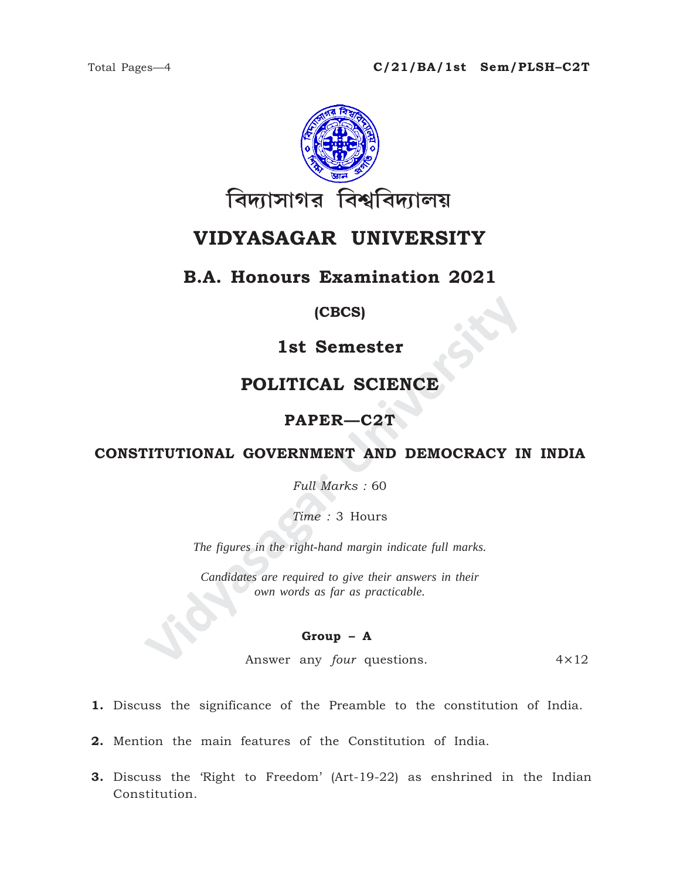

# **VIDYASAGAR UNIVERSITY**

### **B.A. Honours Examination 2021**

### **(CBCS)**

### **1st Semester**

## **POLITICAL SCIENCE**

### **PAPER—C2T**

### **CONSTITUTIONAL GOVERNMENT AND DEMOCRACY IN INDIA**

*Full Marks :* 60

*Time :* 3 Hours

*The figures in the right-hand margin indicate full marks.*

**IST SEMESTER (CBCS)<br>
IST SEMESTER POLITICAL SCIENCE<br>
PAPER—C2T<br>
PITUTIONAL GOVERNMENT AND DEMOCRACY II<br>
Full Marks : 60<br>
Time : 3 Hours<br>
The figures in the right-hand margin indicate full marks.<br>
Candidates are required t** *Candidates are required to give their answers in their own words as far as practicable.*

#### **Group – A**

Answer any *four* questions. 4×12

- **1.** Discuss the significance of the Preamble to the constitution of India.
- **2.** Mention the main features of the Constitution of India.
- **3.** Discuss the 'Right to Freedom' (Art-19-22) as enshrined in the Indian Constitution.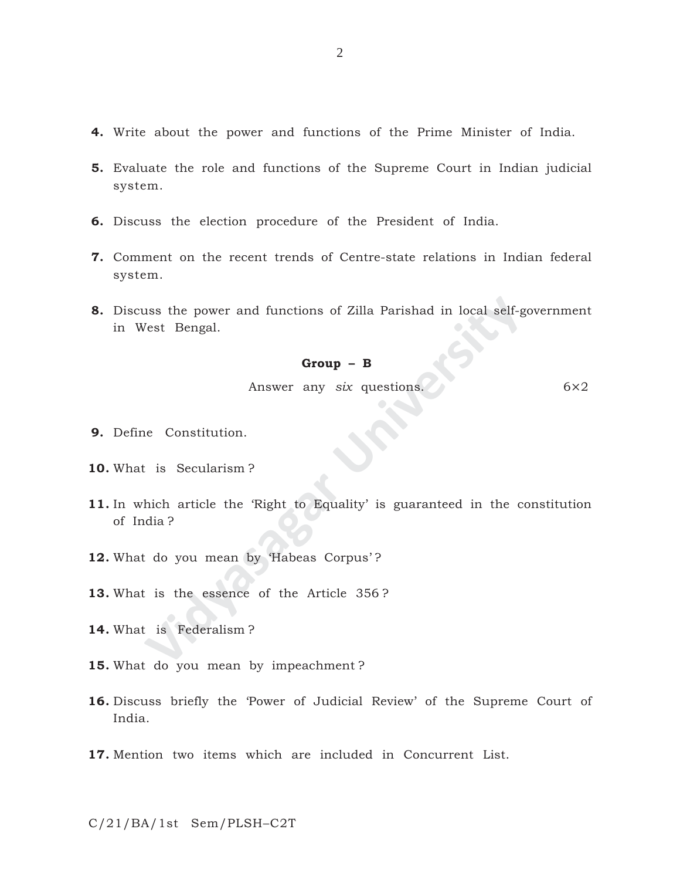- **4.** Write about the power and functions of the Prime Minister of India.
- **5.** Evaluate the role and functions of the Supreme Court in Indian judicial system.
- **6.** Discuss the election procedure of the President of India.
- **7.** Comment on the recent trends of Centre-state relations in Indian federal system.
- **8.** Discuss the power and functions of Zilla Parishad in local self-government in West Bengal.

#### **Group – B**

Answer any *six* questions. 6×2

- **9.** Define Constitution.
- **10.** What is Secularism ?
- Iss the power and functions of Zilla Parishad in local self-g<br>
Vest Bengal.<br> **Group B**<br>
Answer any *six* questions.<br>
Inconstitution.<br>
It is Secularism?<br>
Answer any *six* questions.<br>
It is Secularism?<br>
Answer any *Six* qu **11.** In which article the 'Right to Equality' is guaranteed in the constitution of India ?
- **12.** What do you mean by 'Habeas Corpus' ?
- **13.** What is the essence of the Article 356 ?
- **14.** What is Federalism ?
- **15.** What do you mean by impeachment ?
- **16.** Discuss briefly the 'Power of Judicial Review' of the Supreme Court of India.
- **17.** Mention two items which are included in Concurrent List.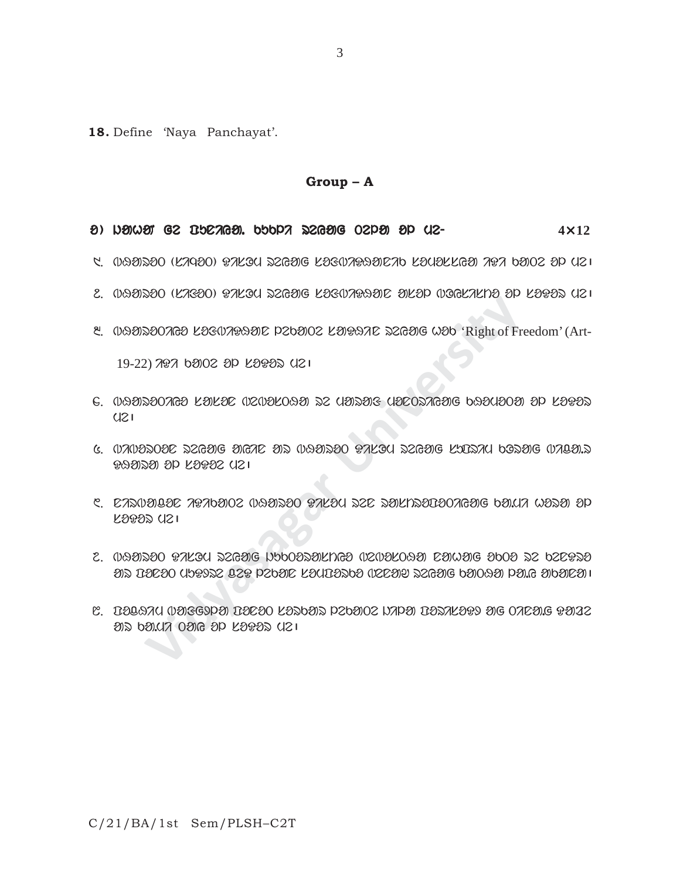**18.** Define 'Naya Panchayat'.

#### **Group – A**

#### o ) jahaN ge puniya. kukli reyag Tela ol me- eyag Tela ol me-**4**×**12**

- $1.$   $0.89$ 20 (K290)  $0.420$  and  $0.500$   $0.800$   $0.800$   $0.800$   $0.800$   $0.800$
- $2.$   $0.93520$  (KA $30)$   $97$ K $30$  az $636$  K $25$ Bi $0.21$ a $0.892$   $0.8093$   $0.21$
- 8. 099202028 LOS02990 P20902 LOG92 2099 WOO 'Right of Freedom' (Art-

19-22) 707 bolo op loops uzi

- **Vidyasagar University**  $6.$  0991200769 K91492 020210991 22 U912913 U200276916 b93013091 3D K9992  $U<sub>S</sub>$
- 5. BiBorTon reyag ayin ar BHaroT DisOm reyag suprim kOrag Bica.r DHara ol soDoe me|
- $\,$ 6. 12. Nirba bikate Barota iza baya baya ba.mi baya ada a.m.  $\,$  $K333$   $(12)$
- $2.$  0991390 BALGU 22GYG NOOOZYLNGO (1209LO9Y) DYWYG OOOO 22 O2DB20  $\mathcal D$  are constant cases in the constant  $\mathcal D$  and  $\mathcal D$  and  $\mathcal D$  is a large  $\mathcal D$  is a large  $\mathcal D$  is a large  $\mathcal D$  is a large  $\mathcal D$  is a large  $\mathcal D$  is a large  $\mathcal D$  is a large  $\mathcal D$  is a large  $\mathcal D$  is a l
- 8. pocHim Bafgxla ponoT sorkar lekaTe jila porisoDx ag Tina.g Daze ar ka.mi Tay ol soDor me|

C/21/BA/1st Sem/PLSH–C2T